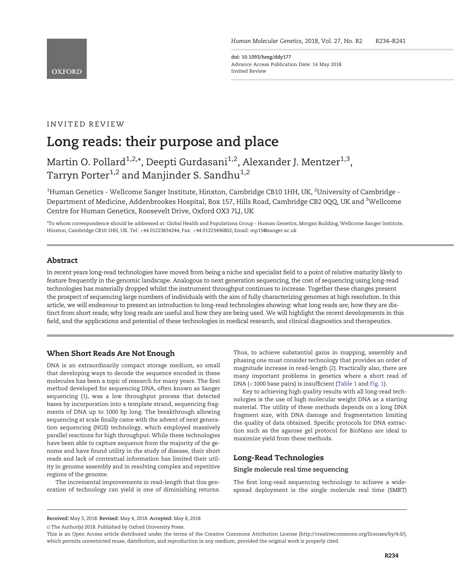<span id="page-0-0"></span>**OXFORD** 

doi: 10.1093/hmg/ddy177 Advance Access Publication Date: 14 May 2018 Invited Review

# INVITED REVIEW

# Long reads: their purpose and place

Martin O. Pollard<sup>1,2,\*</sup>, Deepti Gurdasani<sup>1,2</sup>, Alexander J. Mentzer<sup>1,3</sup>, Tarryn Porter<sup>1,2</sup> and Manjinder S. Sandhu<sup>1,2</sup>

 $^{\rm 1}$ Human Genetics - Wellcome Sanger Institute, Hinxton, Cambridge CB10 1HH, UK,  $^{\rm 2}$ University of Cambridge -Department of Medicine, Addenbrookes Hospital, Box 157, Hills Road, Cambridge CB2 0QQ, UK and <sup>3</sup>Wellcome Centre for Human Genetics, Roosevelt Drive, Oxford OX3 7LJ, UK

\*To whom correspondence should be addressed at: Global Health and Populations Group - Human Genetics, Morgan Building, Wellcome Sanger Institute, Hinxton, Cambridge CB10 1HH, UK. Tel: +44 01223834244; Fax: +44 01223496802; Email: mp15@sanger.ac.uk

## Abstract

In recent years long-read technologies have moved from being a niche and specialist field to a point of relative maturity likely to feature frequently in the genomic landscape. Analogous to next generation sequencing, the cost of sequencing using long-read technologies has materially dropped whilst the instrument throughput continues to increase. Together these changes present the prospect of sequencing large numbers of individuals with the aim of fully characterizing genomes at high resolution. In this article, we will endeavour to present an introduction to long-read technologies showing: what long reads are; how they are distinct from short reads; why long reads are useful and how they are being used. We will highlight the recent developments in this field, and the applications and potential of these technologies in medical research, and clinical diagnostics and therapeutics.

## When Short Reads Are Not Enough

DNA is an extraordinarily compact storage medium, so small that developing ways to decode the sequence encoded in these molecules has been a topic of research for many years. The first method developed for sequencing DNA, often known as Sanger sequencing ([1\)](#page-6-0), was a low throughput process that detected bases by incorporation into a template strand, sequencing fragments of DNA up to 1000 bp long. The breakthrough allowing sequencing at scale finally came with the advent of next generation sequencing (NGS) technology, which employed massively parallel reactions for high throughput. While these technologies have been able to capture sequence from the majority of the genome and have found utility in the study of disease, their short reads and lack of contextual information has limited their utility in genome assembly and in resolving complex and repetitive regions of the genome.

The incremental improvements in read-length that this generation of technology can yield is one of diminishing returns.

Thus, to achieve substantial gains in mapping, assembly and phasing one must consider technology that provides an order of magnitude increase in read-length ([2\)](#page-6-0). Practically also, there are many important problems in genetics where a short read of DNA (<1000 base pairs) is insufficient [\(Table 1](#page-1-0) and [Fig. 1](#page-1-0)).

Key to achieving high quality results with all long-read technologies is the use of high molecular weight DNA as a starting material. The utility of these methods depends on a long DNA fragment size, with DNA damage and fragmentation limiting the quality of data obtained. Specific protocols for DNA extraction such as the agarose gel protocol for BioNano are ideal to maximize yield from these methods.

## Long-Read Technologies

#### Single molecule real time sequencing

The first long-read sequencing technology to achieve a widespread deployment is the single molecule real time (SMRT)

Received: May 3, 2018. Revised: May 4, 2018. Accepted: May 8, 2018

© The Author(s) 2018. Published by Oxford University Press.

This is an Open Access article distributed under the terms of the Creative Commons Attribution License (<http://creativecommons.org/licenses/by/4.0/>), which permits unrestricted reuse, distribution, and reproduction in any medium, provided the original work is properly cited.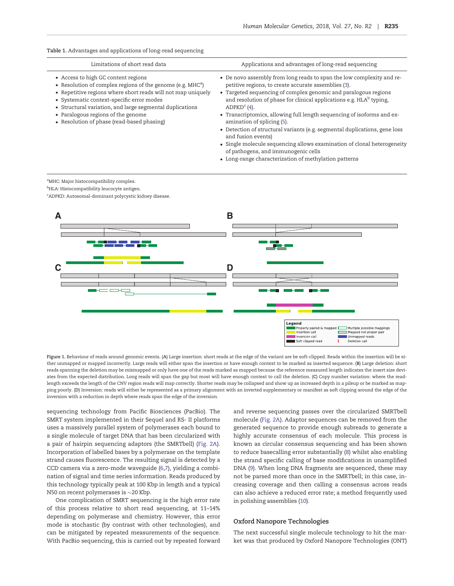#### <span id="page-1-0"></span>Table 1. Advantages and applications of long-read sequencing

| Limitations of short read data                                                                                                                                                                                                                                                                                                                                   | Applications and advantages of long-read sequencing                                                                                                                                                                                                                                                                                                                                                                                                                                                                                                                                                                                          |
|------------------------------------------------------------------------------------------------------------------------------------------------------------------------------------------------------------------------------------------------------------------------------------------------------------------------------------------------------------------|----------------------------------------------------------------------------------------------------------------------------------------------------------------------------------------------------------------------------------------------------------------------------------------------------------------------------------------------------------------------------------------------------------------------------------------------------------------------------------------------------------------------------------------------------------------------------------------------------------------------------------------------|
| • Access to high GC content regions<br>• Resolution of complex regions of the genome (e.g. $MHCa$ )<br>• Repetitive regions where short reads will not map uniquely<br>• Systematic context-specific error modes<br>• Structural variation, and large segmental duplications<br>• Paralogous regions of the genome<br>• Resolution of phase (read-based phasing) | • De novo assembly from long reads to span the low complexity and re-<br>petitive regions, to create accurate assemblies (3).<br>• Targeted sequencing of complex genomic and paralogous regions<br>and resolution of phase for clinical applications e.g. HLA <sup>b</sup> typing,<br>ADPKD <sup>c</sup> (4).<br>• Transcriptomics, allowing full length sequencing of isoforms and ex-<br>amination of splicing (5).<br>• Detection of structural variants (e.g. segmental duplications, gene loss<br>and fusion events)<br>• Single molecule sequencing allows examination of clonal heterogeneity<br>of pathogens, and immunogenic cells |
|                                                                                                                                                                                                                                                                                                                                                                  |                                                                                                                                                                                                                                                                                                                                                                                                                                                                                                                                                                                                                                              |

• Long-range characterization of methylation patterns

<sup>a</sup>MHC: Major histocompatibility complex.

<sup>b</sup>HLA: Histocompatibility leucocyte antigen.

c ADPKD: Autosomal-dominant polycystic kidney disease.



Figure 1. Behaviour of reads around genomic events. (A) Large insertion: short reads at the edge of the variant are be soft-clipped. Reads within the insertion will be either unmapped or mapped incorrectly. Large reads will either span the insertion or have enough context to be marked as inserted sequence. (B) Large deletion: short reads spanning the deletion may be mismapped or only have one of the reads marked as mapped because the reference measured length indicates the insert size deviates from the expected distribution. Long reads will span the gap but most will have enough context to call the deletion. (C) Copy number variation: where the readlength exceeds the length of the CNV region reads will map correctly. Shorter reads may be collapsed and show up as increased depth in a pileup or be marked as mapping poorly. (D) Inversion: reads will either be represented as a primary alignment with an inverted supplementary or manifest as soft clipping around the edge of the inversion with a reduction in depth where reads span the edge of the inversion.

sequencing technology from Pacific Biosciences (PacBio). The SMRT system implemented in their Sequel and RS- II platforms uses a massively parallel system of polymerases each bound to a single molecule of target DNA that has been circularized with a pair of hairpin sequencing adaptors (the SMRTbell) [\(Fig. 2A\)](#page-3-0). Incorporation of labelled bases by a polymerase on the template strand causes fluorescence. The resulting signal is detected by a CCD camera via a zero-mode waveguide [\(6,7\)](#page-6-0), yielding a combination of signal and time series information. Reads produced by this technology typically peak at 100 Kbp in length and a typical N50 on recent polymerases is  $\sim$ 20 Kbp.

One complication of SMRT sequencing is the high error rate of this process relative to short read sequencing, at 11–14% depending on polymerase and chemistry. However, this error mode is stochastic (by contrast with other technologies), and can be mitigated by repeated measurements of the sequence. With PacBio sequencing, this is carried out by repeated forward

and reverse sequencing passes over the circularized SMRTbell molecule [\(Fig. 2A\)](#page-3-0). Adaptor sequences can be removed from the generated sequence to provide enough subreads to generate a highly accurate consensus of each molecule. This process is known as circular consensus sequencing and has been shown to reduce basecalling error substantially ([8\)](#page-6-0) whilst also enabling the strand specific calling of base modifications in unamplified DNA [\(9](#page-6-0)). When long DNA fragments are sequenced, these may not be parsed more than once in the SMRTbell; in this case, increasing coverage and then calling a consensus across reads can also achieve a reduced error rate; a method frequently used in polishing assemblies ([10](#page-6-0)).

#### Oxford Nanopore Technologies

The next successful single molecule technology to hit the market was that produced by Oxford Nanopore Technologies (ONT)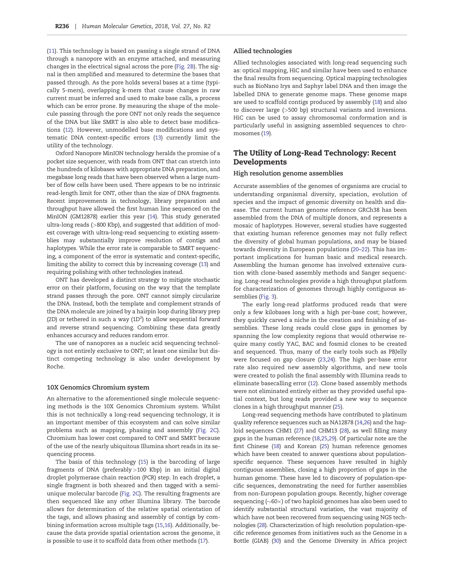<span id="page-2-0"></span>[\(11\)](#page-6-0). This technology is based on passing a single strand of DNA through a nanopore with an enzyme attached, and measuring changes in the electrical signal across the pore ([Fig. 2B](#page-3-0)). The signal is then amplified and measured to determine the bases that passed through. As the pore holds several bases at a time (typically 5-mers), overlapping k-mers that cause changes in raw current must be inferred and used to make base calls, a process which can be error prone. By measuring the shape of the molecule passing through the pore ONT not only reads the sequence of the DNA but like SMRT is also able to detect base modifications ([12\)](#page-6-0). However, unmodelled base modifications and systematic DNA context-specific errors [\(13](#page-6-0)) currently limit the utility of the technology.

Oxford Nanopore MinION technology heralds the promise of a pocket size sequencer, with reads from ONT that can stretch into the hundreds of kilobases with appropriate DNA preparation, and megabase long reads that have been observed when a large number of flow cells have been used. There appears to be no intrinsic read-length limit for ONT, other than the size of DNA fragments. Recent improvements in technology, library preparation and throughput have allowed the first human line sequenced on the MinION (GM12878) earlier this year ([14\)](#page-6-0). This study generated ultra-long reads (>800 Kbp), and suggested that addition of modest coverage with ultra-long-read sequencing to existing assemblies may substantially improve resolution of contigs and haplotypes. While the error rate is comparable to SMRT sequencing, a component of the error is systematic and context-specific, limiting the ability to correct this by increasing coverage ([13\)](#page-6-0) and requiring polishing with other technologies instead.

ONT has developed a distinct strategy to mitigate stochastic error on their platform, focusing on the way that the template strand passes through the pore. ONT cannot simply circularize the DNA. Instead, both the template and complement strands of the DNA molecule are joined by a hairpin loop during library prep (2D) or tethered in such a way ( $1D<sup>2</sup>$ ) to allow sequential forward and reverse strand sequencing. Combining these data greatly enhances accuracy and reduces random error.

The use of nanopores as a nucleic acid sequencing technology is not entirely exclusive to ONT; at least one similar but distinct competing technology is also under development by Roche.

#### 10X Genomics Chromium system

An alternative to the aforementioned single molecule sequencing methods is the 10X Genomics Chromium system. Whilst this is not technically a long-read sequencing technology, it is an important member of this ecosystem and can solve similar problems such as mapping, phasing and assembly ([Fig. 2C\)](#page-3-0). Chromium has lower cost compared to ONT and SMRT because of the use of the nearly ubiquitous Illumina short reads in its sequencing process.

The basis of this technology [\(15\)](#page-6-0) is the barcoding of large fragments of DNA (preferably >100 Kbp) in an initial digital droplet polymerase chain reaction (PCR) step. In each droplet, a single fragment is both sheared and then tagged with a semiunique molecular barcode ([Fig. 2C\)](#page-3-0). The resulting fragments are then sequenced like any other Illumina library. The barcode allows for determination of the relative spatial orientation of the tags, and allows phasing and assembly of contigs by combining information across multiple tags ([15,16](#page-6-0)). Additionally, because the data provide spatial orientation across the genome, it is possible to use it to scaffold data from other methods ([17](#page-6-0)).

#### Allied technologies

Allied technologies associated with long-read sequencing such as: optical mapping, HiC and similar have been used to enhance the final results from sequencing. Optical mapping technologies such as BioNano Irys and Saphyr label DNA and then image the labelled DNA to generate genome maps. These genome maps are used to scaffold contigs produced by assembly [\(18](#page-6-0)) and also to discover large (>500 bp) structural variants and inversions. HiC can be used to assay chromosomal conformation and is particularly useful in assigning assembled sequences to chromosomes ([19](#page-6-0)).

# The Utility of Long-Read Technology: Recent Developments

#### High resolution genome assemblies

Accurate assemblies of the genomes of organisms are crucial to understanding organismal diversity, speciation, evolution of species and the impact of genomic diversity on health and disease. The current human genome reference GRCh38 has been assembled from the DNA of multiple donors, and represents a mosaic of haplotypes. However, several studies have suggested that existing human reference genomes may not fully reflect the diversity of global human populations, and may be biased towards diversity in European populations ([20](#page-6-0)–[22](#page-6-0)). This has important implications for human basic and medical research. Assembling the human genome has involved extensive curation with clone-based assembly methods and Sanger sequencing. Long-read technologies provide a high throughput platform for characterization of genomes through highly contiguous assemblies ([Fig. 3](#page-4-0)).

The early long-read platforms produced reads that were only a few kilobases long with a high per-base cost; however, they quickly carved a niche in the creation and finishing of assemblies. These long reads could close gaps in genomes by spanning the low complexity regions that would otherwise require many costly YAC, BAC and fosmid clones to be created and sequenced. Thus, many of the early tools such as PBJelly were focused on gap closure [\(23,24\)](#page-6-0). The high per-base error rate also required new assembly algorithms, and new tools were created to polish the final assembly with Illumina reads to eliminate basecalling error [\(12\)](#page-6-0). Clone based assembly methods were not eliminated entirely either as they provided useful spatial context, but long reads provided a new way to sequence clones in a high throughput manner [\(25\)](#page-6-0).

Long-read sequencing methods have contributed to platinum quality reference sequences such as NA12878 [\(14,26](#page-6-0)) and the haploid sequences CHM1 [\(27](#page-6-0)) and CHM13 [\(28\)](#page-6-0), as well filling many gaps in the human reference ([18,25,](#page-6-0)[29\)](#page-7-0). Of particular note are the first Chinese ([18\)](#page-6-0) and Korean ([25\)](#page-6-0) human reference genomes which have been created to answer questions about populationspecific sequence. These sequences have resulted in highly contiguous assemblies, closing a high proportion of gaps in the human genome. These have led to discovery of population-specific sequences, demonstrating the need for further assemblies from non-European population groups. Recently, higher coverage sequencing (~60 $\times$ ) of two haploid genomes has also been used to identify substantial structural variation, the vast majority of which have not been recovered from sequencing using NGS technologies [\(28\)](#page-6-0). Characterization of high resolution population-specific reference genomes from initiatives such as the Genome in a Bottle (GIAB) ([30\)](#page-7-0) and the Genome Diversity in Africa project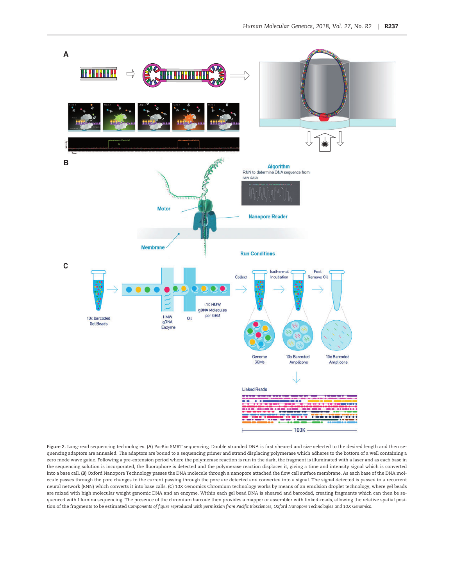<span id="page-3-0"></span>

Figure 2. Long-read sequencing technologies. (A) PacBio SMRT sequencing. Double stranded DNA is first sheared and size selected to the desired length and then sequencing adaptors are annealed. The adaptors are bound to a sequencing primer and strand displacing polymerase which adheres to the bottom of a well containing a zero mode wave guide. Following a pre-extension period where the polymerase reaction is run in the dark, the fragment is illuminated with a laser and as each base in the sequencing solution is incorporated, the fluorophore is detected and the polymerase reaction displaces it, giving a time and intensity signal which is converted into a base call. (B) Oxford Nanopore Technology passes the DNA molecule through a nanopore attached the flow cell surface membrane. As each base of the DNA molecule passes through the pore changes to the current passing through the pore are detected and converted into a signal. The signal detected is passed to a recurrent neural network (RNN) which converts it into base calls. (C) 10X Genomics Chromium technology works by means of an emulsion droplet technology, where gel beads are mixed with high molecular weight genomic DNA and an enzyme. Within each gel bead DNA is sheared and barcoded, creating fragments which can then be sequenced with Illumina sequencing. The presence of the chromium barcode then provides a mapper or assembler with linked-reads, allowing the relative spatial position of the fragments to be estimated Components of figure reproduced with permission from Pacific Biosciences, Oxford Nanopore Technologies and 10X Genomics.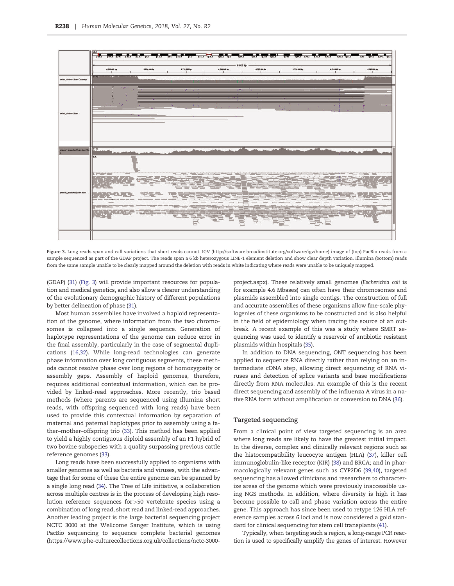<span id="page-4-0"></span>

Figure 3. Long reads span and call variations that short reads cannot. IGV [\(http://software.broadinstitute.org/software/igv/home\)](http://software.broadinstitute.org/software/igv/home) image of (top) PacBio reads from a sample sequenced as part of the GDAP project. The reads span a 6 kb heterozygous LINE-1 element deletion and show clear depth variation. Illumina (bottom) reads from the same sample unable to be clearly mapped around the deletion with reads in white indicating where reads were unable to be uniquely mapped.

(GDAP) [\(31](#page-7-0)) (Fig. 3) will provide important resources for population and medical genetics, and also allow a clearer understanding of the evolutionary demographic history of different populations by better delineation of phase [\(31](#page-7-0)).

Most human assemblies have involved a haploid representation of the genome, where information from the two chromosomes is collapsed into a single sequence. Generation of haplotype representations of the genome can reduce error in the final assembly, particularly in the case of segmental duplications ([16,](#page-6-0)[32](#page-7-0)). While long-read technologies can generate phase information over long contiguous segments, these methods cannot resolve phase over long regions of homozygosity or assembly gaps. Assembly of haploid genomes, therefore, requires additional contextual information, which can be provided by linked-read approaches. More recently, trio based methods (where parents are sequenced using Illumina short reads, with offspring sequenced with long reads) have been used to provide this contextual information by separation of maternal and paternal haplotypes prior to assembly using a father–mother–offspring trio ([33](#page-7-0)). This method has been applied to yield a highly contiguous diploid assembly of an F1 hybrid of two bovine subspecies with a quality surpassing previous cattle reference genomes ([33](#page-7-0)).

Long reads have been successfully applied to organisms with smaller genomes as well as bacteria and viruses, with the advantage that for some of these the entire genome can be spanned by a single long read [\(34](#page-7-0)). The Tree of Life initiative, a collaboration across multiple centres is in the process of developing high resolution reference sequences for>50 vertebrate species using a combination of long read, short read and linked-read approaches. Another leading project is the large bacterial sequencing project NCTC 3000 at the Wellcome Sanger Institute, which is using PacBio sequencing to sequence complete bacterial genomes [\(https://www.phe-culturecollections.org.uk/collections/nctc-3000-](https://www.phe-culturecollections.org.uk/collections/nctc-3000-project.aspx)

[project.aspx](https://www.phe-culturecollections.org.uk/collections/nctc-3000-project.aspx)). These relatively small genomes (Escherichia coli is for example 4.6 Mbases) can often have their chromosomes and plasmids assembled into single contigs. The construction of full and accurate assemblies of these organisms allow fine-scale phylogenies of these organisms to be constructed and is also helpful in the field of epidemiology when tracing the source of an outbreak. A recent example of this was a study where SMRT sequencing was used to identify a reservoir of antibiotic resistant plasmids within hospitals ([35\)](#page-7-0).

In addition to DNA sequencing, ONT sequencing has been applied to sequence RNA directly rather than relying on an intermediate cDNA step, allowing direct sequencing of RNA viruses and detection of splice variants and base modifications directly from RNA molecules. An example of this is the recent direct sequencing and assembly of the influenza A virus in a native RNA form without amplification or conversion to DNA [\(36\)](#page-7-0).

#### Targeted sequencing

From a clinical point of view targeted sequencing is an area where long reads are likely to have the greatest initial impact. In the diverse, complex and clinically relevant regions such as the histocompatibility leucocyte antigen (HLA) ([37](#page-7-0)), killer cell immunoglobulin-like receptor (KIR) ([38\)](#page-7-0) and BRCA; and in pharmacologically relevant genes such as CYP2D6 ([39,40](#page-7-0)), targeted sequencing has allowed clinicians and researchers to characterize areas of the genome which were previously inaccessible using NGS methods. In addition, where diversity is high it has become possible to call and phase variation across the entire gene. This approach has since been used to retype 126 HLA reference samples across 6 loci and is now considered a gold standard for clinical sequencing for stem cell transplants [\(41\)](#page-7-0).

Typically, when targeting such a region, a long-range PCR reaction is used to specifically amplify the genes of interest. However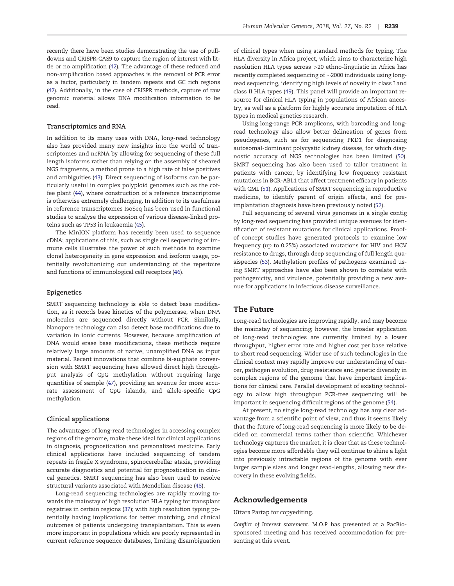<span id="page-5-0"></span>recently there have been studies demonstrating the use of pulldowns and CRISPR-CAS9 to capture the region of interest with little or no amplification [\(42](#page-7-0)). The advantage of these reduced and non-amplification based approaches is the removal of PCR error as a factor, particularly in tandem repeats and GC rich regions [\(42](#page-7-0)). Additionally, in the case of CRISPR methods, capture of raw genomic material allows DNA modification information to be read.

#### Transcriptomics and RNA

In addition to its many uses with DNA, long-read technology also has provided many new insights into the world of transcriptomes and ncRNA by allowing for sequencing of these full length isoforms rather than relying on the assembly of sheared NGS fragments, a method prone to a high rate of false positives and ambiguities [\(43\)](#page-7-0). Direct sequencing of isoforms can be particularly useful in complex polyploid genomes such as the coffee plant [\(44](#page-7-0)), where construction of a reference transcriptome is otherwise extremely challenging. In addition to its usefulness in reference transcriptomes IsoSeq has been used in functional studies to analyse the expression of various disease-linked proteins such as TP53 in leukaemia ([45\)](#page-7-0).

The MinION platform has recently been used to sequence cDNA; applications of this, such as single cell sequencing of immune cells illustrates the power of such methods to examine clonal heterogeneity in gene expression and isoform usage, potentially revolutionizing our understanding of the repertoire and functions of immunological cell receptors [\(46](#page-7-0)).

#### Epigenetics

SMRT sequencing technology is able to detect base modification, as it records base kinetics of the polymerase, when DNA molecules are sequenced directly without PCR. Similarly, Nanopore technology can also detect base modifications due to variation in ionic currents. However, because amplification of DNA would erase base modifications, these methods require relatively large amounts of native, unamplified DNA as input material. Recent innovations that combine bi-sulphate conversion with SMRT sequencing have allowed direct high throughput analysis of CpG methylation without requiring large quantities of sample ([47](#page-7-0)), providing an avenue for more accurate assessment of CpG islands, and allele-specific CpG methylation.

#### Clinical applications

The advantages of long-read technologies in accessing complex regions of the genome, make these ideal for clinical applications in diagnosis, prognostication and personalized medicine. Early clinical applications have included sequencing of tandem repeats in fragile X syndrome, spinocerebellar ataxia, providing accurate diagnostics and potential for prognostication in clinical genetics. SMRT sequencing has also been used to resolve structural variants associated with Mendelian disease ([48](#page-7-0)).

Long-read sequencing technologies are rapidly moving towards the mainstay of high resolution HLA typing for transplant registries in certain regions ([37\)](#page-7-0); with high resolution typing potentially having implications for better matching, and clinical outcomes of patients undergoing transplantation. This is even more important in populations which are poorly represented in current reference sequence databases, limiting disambiguation

of clinical types when using standard methods for typing. The HLA diversity in Africa project, which aims to characterize high resolution HLA types across >20 ethno-linguistic in Africa has recently completed sequencing of  $\sim$ 2000 individuals using longread sequencing, identifying high levels of novelty in class I and class II HLA types [\(49\)](#page-7-0). This panel will provide an important resource for clinical HLA typing in populations of African ancestry, as well as a platform for highly accurate imputation of HLA types in medical genetics research.

Using long-range PCR amplicons, with barcoding and longread technology also allow better delineation of genes from pseudogenes, such as for sequencing PKD1 for diagnosing autosomal-dominant polycystic kidney disease, for which diagnostic accuracy of NGS technologies has been limited [\(50\)](#page-7-0). SMRT sequencing has also been used to tailor treatment in patients with cancer, by identifying low frequency resistant mutations in BCR-ABL1 that affect treatment efficacy in patients with CML [\(51\)](#page-7-0). Applications of SMRT sequencing in reproductive medicine, to identify parent of origin effects, and for preimplantation diagnosis have been previously noted ([52\)](#page-7-0).

Full sequencing of several virus genomes in a single contig by long-read sequencing has provided unique avenues for identification of resistant mutations for clinical applications. Proofof concept studies have generated protocols to examine low frequency (up to 0.25%) associated mutations for HIV and HCV resistance to drugs, through deep sequencing of full length quasispecies [\(53](#page-7-0)). Methylation profiles of pathogens examined using SMRT approaches have also been shown to correlate with pathogenicity, and virulence, potentially providing a new avenue for applications in infectious disease surveillance.

#### The Future

Long-read technologies are improving rapidly, and may become the mainstay of sequencing; however, the broader application of long-read technologies are currently limited by a lower throughput, higher error rate and higher cost per base relative to short read sequencing. Wider use of such technologies in the clinical context may rapidly improve our understanding of cancer, pathogen evolution, drug resistance and genetic diversity in complex regions of the genome that have important implications for clinical care. Parallel development of existing technology to allow high throughput PCR-free sequencing will be important in sequencing difficult regions of the genome ([54](#page-7-0)).

At present, no single long-read technology has any clear advantage from a scientific point of view, and thus it seems likely that the future of long-read sequencing is more likely to be decided on commercial terms rather than scientific. Whichever technology captures the market, it is clear that as these technologies become more affordable they will continue to shine a light into previously intractable regions of the genome with ever larger sample sizes and longer read-lengths, allowing new discovery in these evolving fields.

## Acknowledgements

#### Uttara Partap for copyediting.

Conflict of Interest statement. M.O.P has presented at a PacBiosponsored meeting and has received accommodation for presenting at this event.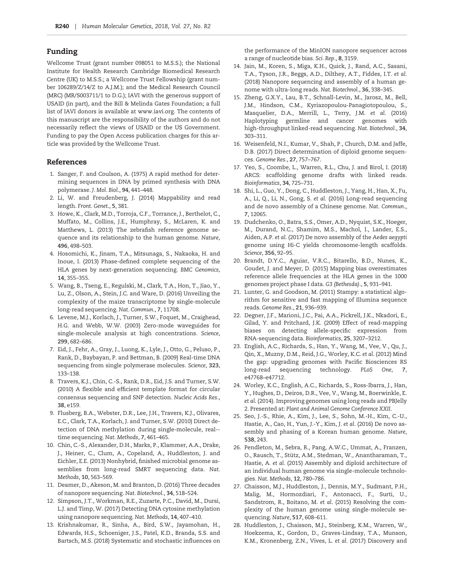# <span id="page-6-0"></span>Funding

Wellcome Trust (grant number 098051 to M.S.S.); the National Institute for Health Research Cambridge Biomedical Research Centre (UK) to M.S.S.; a Wellcome Trust Fellowship (grant number 106289/Z/14/Z to A.J.M.); and the Medical Research Council (MRC) (MR/S003711/1 to D.G.); IAVI with the generous support of USAID (in part), and the Bill & Melinda Gates Foundation; a full list of IAVI donors is available at [www.iavi.org.](http://www.iavi.org) The contents of this manuscript are the responsibility of the authors and do not necessarily reflect the views of USAID or the US Government. Funding to pay the Open Access publication charges for this article was provided by the Wellcome Trust.

### References

- [1](#page-0-0). Sanger, F. and Coulson, A. (1975) A rapid method for determining sequences in DNA by primed synthesis with DNA polymerase. J. Mol. Biol., 94, 441–448.
- [2](#page-0-0). Li, W. and Freudenberg, J. (2014) Mappability and read length. Front. Genet., 5, 381.
- [3](#page-1-0). Howe, K., Clark, M.D., Torroja, C.F., Torrance, J., Berthelot, C., Muffato, M., Collins, J.E., Humphray, S., McLaren, K. and Matthews, L. (2013) The zebrafish reference genome sequence and its relationship to the human genome. Nature, 496, 498–503.
- [4](#page-1-0). Hosomichi, K., Jinam, T.A., Mitsunaga, S., Nakaoka, H. and Inoue, I. (2013) Phase-defined complete sequencing of the HLA genes by next-generation sequencing. BMC Genomics, 14, 355–355.
- [5](#page-1-0). Wang, B., Tseng, E., Regulski, M., Clark, T.A., Hon, T., Jiao, Y., Lu, Z., Olson, A., Stein, J.C. and Ware, D. (2016) Unveiling the complexity of the maize transcriptome by single-molecule long-read sequencing. Nat. Commun., 7, 11708.
- [6](#page-1-0). Levene, M.J., Korlach, J., Turner, S.W., Foquet, M., Craighead, H.G. and Webb, W.W. (2003) Zero-mode waveguides for single-molecule analysis at high concentrations. Science, 299, 682–686.
- [7](#page-1-0). Eid, J., Fehr, A., Gray, J., Luong, K., Lyle, J., Otto, G., Peluso, P., Rank, D., Baybayan, P. and Bettman, B. (2009) Real-time DNA sequencing from single polymerase molecules. Science, 323, 133–138.
- [8](#page-1-0). Travers, K.J., Chin, C.-S., Rank, D.R., Eid, J.S. and Turner, S.W. (2010) A flexible and efficient template format for circular consensus sequencing and SNP detection. Nucleic Acids Res., 38, e159.
- [9](#page-1-0). Flusberg, B.A., Webster, D.R., Lee, J.H., Travers, K.J., Olivares, E.C., Clark, T.A., Korlach, J. and Turner, S.W. (2010) Direct detection of DNA methylation during single-molecule, real- time sequencing. Nat. Methods, 7, 461–465.
- [10](#page-1-0). Chin, C.-S., Alexander, D.H., Marks, P., Klammer, A.A., Drake, J., Heiner, C., Clum, A., Copeland, A., Huddleston, J. and Eichler, E.E. (2013) Nonhybrid, finished microbial genome assemblies from long-read SMRT sequencing data. Nat. Methods, 10, 563–569.
- [11](#page-1-0). Deamer, D., Akeson, M. and Branton, D. (2016) Three decades of nanopore sequencing. Nat. Biotechnol., 34, 518–524.
- [12](#page-2-0). Simpson, J.T., Workman, R.E., Zuzarte, P.C., David, M., Dursi, L.J. and Timp, W. (2017) Detecting DNA cytosine methylation using nanopore sequencing. Nat. Methods, 14, 407–410.
- [13](#page-2-0). Krishnakumar, R., Sinha, A., Bird, S.W., Jayamohan, H., Edwards, H.S., Schoeniger, J.S., Patel, K.D., Branda, S.S. and Bartsch, M.S. (2018) Systematic and stochastic influences on

the performance of the MinION nanopore sequencer across a range of nucleotide bias. Sci. Rep., 8, 3159.

- [14](#page-2-0). Jain, M., Koren, S., Miga, K.H., Quick, J., Rand, A.C., Sasani, T.A., Tyson, J.R., Beggs, A.D., Dilthey, A.T., Fiddes, I.T. et al. (2018) Nanopore sequencing and assembly of a human genome with ultra-long reads. Nat. Biotechnol., 36, 338–345.
- [15](#page-2-0). Zheng, G.X.Y., Lau, B.T., Schnall-Levin, M., Jarosz, M., Bell, J.M., Hindson, C.M., Kyriazopoulou-Panagiotopoulou, S., Masquelier, D.A., Merrill, L., Terry, J.M. et al. (2016) Haplotyping germline and cancer genomes with high-throughput linked-read sequencing. Nat. Biotechnol., 34, 303–311.
- [16](#page-2-0). Weisenfeld, N.I., Kumar, V., Shah, P., Church, D.M. and Jaffe, D.B. (2017) Direct determination of diploid genome sequences. Genome Res., 27, 757–767.
- [17](#page-2-0). Yeo, S., Coombe, L., Warren, R.L., Chu, J. and Birol, I. (2018) ARCS: scaffolding genome drafts with linked reads. Bioinformatics, 34, 725–731.
- [18](#page-2-0). Shi, L., Guo, Y., Dong, C., Huddleston, J., Yang, H., Han, X., Fu, A., Li, Q., Li, N., Gong, S. et al. (2016) Long-read sequencing and de novo assembly of a Chinese genome. Nat. Commun., 7, 12065.
- [19](#page-2-0). Dudchenko, O., Batra, S.S., Omer, A.D., Nyquist, S.K., Hoeger, M., Durand, N.C., Shamim, M.S., Machol, I., Lander, E.S., Aiden, A.P. et al. (2017) De novo assembly of the Aedes aegypti genome using Hi-C yields chromosome-length scaffolds. Science, 356, 92–95.
- 20. Brandt, D.Y.C., Aguiar, V.R.C., Bitarello, B.D., Nunes, K., Goudet, J. and Meyer, D. (2015) Mapping bias overestimates reference allele frequencies at the HLA genes in the 1000 genomes project phase I data. G3 (Bethesda)., 5, 931–941.
- 21. Lunter, G. and Goodson, M. (2011) Stampy: a statistical algorithm for sensitive and fast mapping of Illumina sequence reads. Genome Res., 21, 936–939.
- 22. Degner, J.F., Marioni, J.C., Pai, A.A., Pickrell, J.K., Nkadori, E., Gilad, Y. and Pritchard, J.K. (2009) Effect of read-mapping biases on detecting allele-specific expression from RNA-sequencing data. Bioinformatics, 25, 3207–3212.
- [23](#page-2-0). English, A.C., Richards, S., Han, Y., Wang, M., Vee, V., Qu, J., Qin, X., Muzny, D.M., Reid, J.G., Worley, K.C. et al. (2012) Mind the gap: upgrading genomes with Pacific Biosciences RS long-read sequencing technology. PLoS One, 7, e47768–e47712.
- [24](#page-2-0). Worley, K.C., English, A.C., Richards, S., Ross-Ibarra, J., Han, Y., Hughes, D., Deiros, D.R., Vee, V., Wang, M., Boerwinkle, E. et al. (2014). Improving genomes using long reads and PBJelly 2. Presented at: Plant and Animal Genome Conference XXII.
- [25](#page-2-0). Seo, J.-S., Rhie, A., Kim, J., Lee, S., Sohn, M.-H., Kim, C.-U., Hastie, A., Cao, H., Yun, J.-Y., Kim, J. et al. (2016) De novo assembly and phasing of a Korean human genome. Nature, 538, 243.
- [26](#page-2-0). Pendleton, M., Sebra, R., Pang, A.W.C., Ummat, A., Franzen, O., Rausch, T., Stütz, A.M., Stedman, W., Anantharaman, T., Hastie, A. et al. (2015) Assembly and diploid architecture of an individual human genome via single-molecule technologies. Nat. Methods, 12, 780–786.
- [27](#page-2-0). Chaisson, M.J., Huddleston, J., Dennis, M.Y., Sudmant, P.H., Malig, M., Hormozdiari, F., Antonacci, F., Surti, U., Sandstrom, R., Boitano, M. et al. (2015) Resolving the complexity of the human genome using single-molecule sequencing. Nature, 517, 608–611.
- [28](#page-2-0). Huddleston, J., Chaisson, M.J., Steinberg, K.M., Warren, W., Hoekzema, K., Gordon, D., Graves-Lindsay, T.A., Munson, K.M., Kronenberg, Z.N., Vives, L. et al. (2017) Discovery and